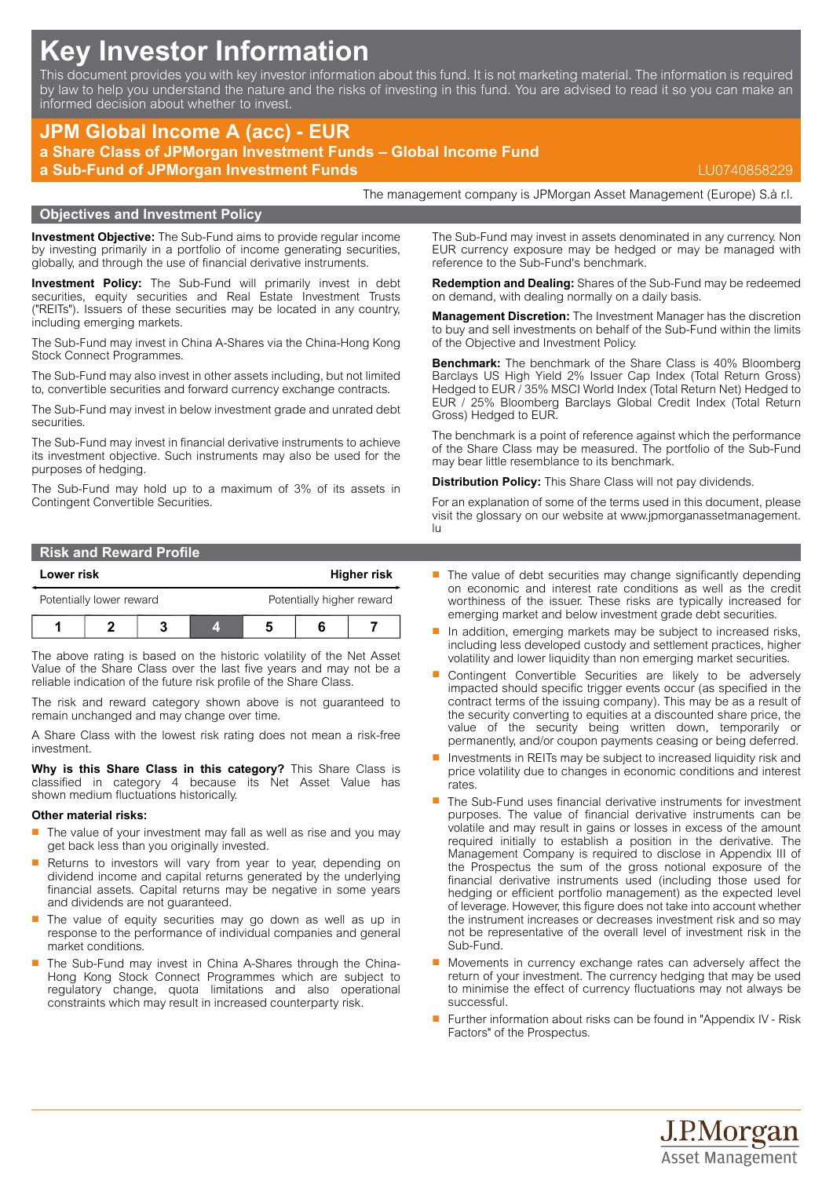# **Key Investor Information**

This document provides you with key investor information about this fund. It is not marketing material. The information is required by law to help you understand the nature and the risks of investing in this fund. You are advised to read it so you can make an informed decision about whether to invest.

# **JPM Global Income A (acc) - EUR a Share Class of JPMorgan Investment Funds – Global Income Fund a Sub-Fund of JPMorgan Investment Funds** LU0740858229

# **Objectives and Investment Policy**

**Investment Objective:** The Sub-Fund aims to provide regular income by investing primarily in a portfolio of income generating securities, globally, and through the use of financial derivative instruments.

**Investment Policy:** The Sub-Fund will primarily invest in debt securities, equity securities and Real Estate Investment Trusts ("REITs"). Issuers of these securities may be located in any country, including emerging markets.

The Sub-Fund may invest in China A-Shares via the China-Hong Kong Stock Connect Programmes.

The Sub-Fund may also invest in other assets including, but not limited to, convertible securities and forward currency exchange contracts.

The Sub-Fund may invest in below investment grade and unrated debt securities.

The Sub-Fund may invest in financial derivative instruments to achieve its investment objective. Such instruments may also be used for the purposes of hedging.

The Sub-Fund may hold up to a maximum of 3% of its assets in Contingent Convertible Securities.

| <b>Risk and Reward Profile</b> |             |
|--------------------------------|-------------|
| Lower risk                     | Higher risk |

| Potentially lower reward |  |  |  | Potentially higher reward |  |
|--------------------------|--|--|--|---------------------------|--|
|                          |  |  |  |                           |  |

The above rating is based on the historic volatility of the Net Asset Value of the Share Class over the last five years and may not be a reliable indication of the future risk profile of the Share Class.

The risk and reward category shown above is not guaranteed to remain unchanged and may change over time.

A Share Class with the lowest risk rating does not mean a risk-free investment.

**Why is this Share Class in this category?** This Share Class is classified in category 4 because its Net Asset Value has shown medium fluctuations historically.

#### **Other material risks:**

- The value of your investment may fall as well as rise and you may get back less than you originally invested.
- Returns to investors will vary from year to year, depending on dividend income and capital returns generated by the underlying financial assets. Capital returns may be negative in some years and dividends are not guaranteed.
- The value of equity securities may go down as well as up in response to the performance of individual companies and general market conditions.
- The Sub-Fund may invest in China A-Shares through the China-Hong Kong Stock Connect Programmes which are subject to regulatory change, quota limitations and also operational constraints which may result in increased counterparty risk.

The Sub-Fund may invest in assets denominated in any currency. Non EUR currency exposure may be hedged or may be managed with reference to the Sub-Fund's benchmark.

The management company is JPMorgan Asset Management (Europe) S.à r.l.

**Redemption and Dealing:** Shares of the Sub-Fund may be redeemed on demand, with dealing normally on a daily basis.

**Management Discretion:** The Investment Manager has the discretion to buy and sell investments on behalf of the Sub-Fund within the limits of the Objective and Investment Policy.

**Benchmark:** The benchmark of the Share Class is 40% Bloomberg Barclays US High Yield 2% Issuer Cap Index (Total Return Gross) Hedged to EUR / 35% MSCI World Index (Total Return Net) Hedged to EUR / 25% Bloomberg Barclays Global Credit Index (Total Return Gross) Hedged to EUR.

The benchmark is a point of reference against which the performance of the Share Class may be measured. The portfolio of the Sub-Fund may bear little resemblance to its benchmark.

**Distribution Policy:** This Share Class will not pay dividends.

For an explanation of some of the terms used in this document, please visit the glossary on our website at [www.jpmorganassetmanagement.](www.jpmorganassetmanagement.lu) [lu](www.jpmorganassetmanagement.lu)

- $\blacksquare$  The value of debt securities may change significantly depending on economic and interest rate conditions as well as the credit worthiness of the issuer. These risks are typically increased for emerging market and below investment grade debt securities.
- In addition, emerging markets may be subject to increased risks, including less developed custody and settlement practices, higher volatility and lower liquidity than non emerging market securities.
- Contingent Convertible Securities are likely to be adversely impacted should specific trigger events occur (as specified in the contract terms of the issuing company). This may be as a result of the security converting to equities at a discounted share price, the value of the security being written down, temporarily or permanently, and/or coupon payments ceasing or being deferred.
- $\blacksquare$  Investments in REITs may be subject to increased liquidity risk and price volatility due to changes in economic conditions and interest rates.
- $\blacksquare$  The Sub-Fund uses financial derivative instruments for investment purposes. The value of financial derivative instruments can be volatile and may result in gains or losses in excess of the amount required initially to establish a position in the derivative. The Management Company is required to disclose in Appendix III of the Prospectus the sum of the gross notional exposure of the financial derivative instruments used (including those used for hedging or efficient portfolio management) as the expected level of leverage. However, this figure does not take into account whether the instrument increases or decreases investment risk and so may not be representative of the overall level of investment risk in the Sub-Fund.
- $\blacksquare$  Movements in currency exchange rates can adversely affect the return of your investment. The currency hedging that may be used to minimise the effect of currency fluctuations may not always be successful.
- Further information about risks can be found in "Appendix IV Risk Factors" of the Prospectus.

J.P.Morgan **Asset Management**